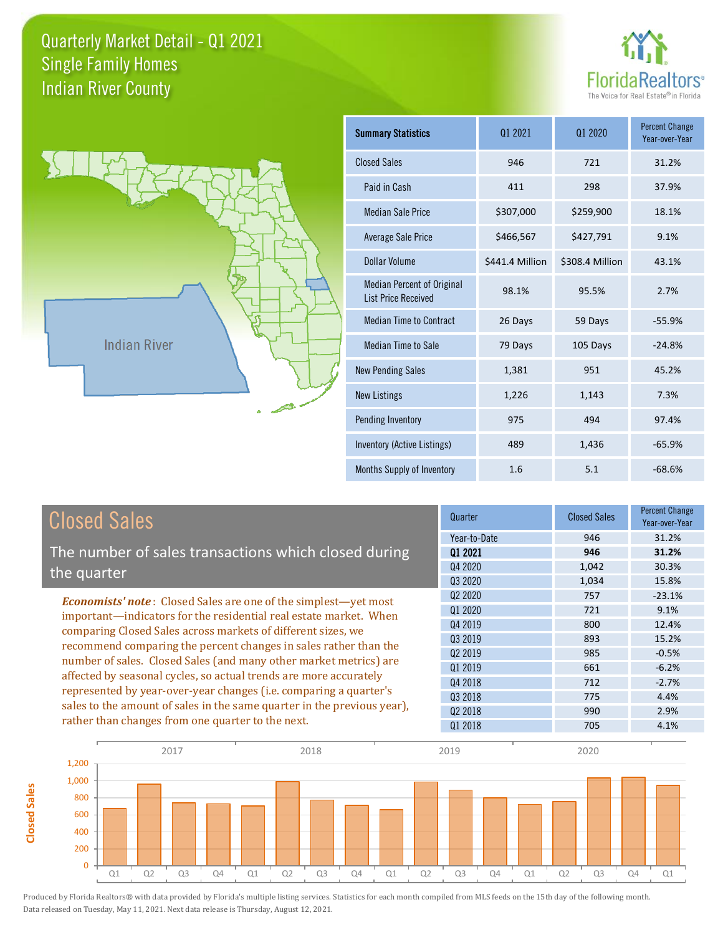



**Closed Sales**

**Closed Sales** 

| Summary Statistics                                              | 01 2021         | 01 2020         | <b>Percent Change</b><br>Year-over-Year |
|-----------------------------------------------------------------|-----------------|-----------------|-----------------------------------------|
| <b>Closed Sales</b>                                             | 946             | 721             | 31.2%                                   |
| Paid in Cash                                                    | 411             | 298             | 37.9%                                   |
| <b>Median Sale Price</b>                                        | \$307,000       | \$259,900       | 18.1%                                   |
| Average Sale Price                                              | \$466,567       | \$427,791       | 9.1%                                    |
| Dollar Volume                                                   | \$441.4 Million | \$308.4 Million | 43.1%                                   |
| <b>Median Percent of Original</b><br><b>List Price Received</b> | 98.1%           | 95.5%           | 2.7%                                    |
| <b>Median Time to Contract</b>                                  | 26 Days         | 59 Days         | $-55.9%$                                |
| <b>Median Time to Sale</b>                                      | 79 Days         | 105 Days        | $-24.8%$                                |
| <b>New Pending Sales</b>                                        | 1,381           | 951             | 45.2%                                   |
| <b>New Listings</b>                                             | 1,226           | 1,143           | 7.3%                                    |
| Pending Inventory                                               | 975             | 494             | 97.4%                                   |
| Inventory (Active Listings)                                     | 489             | 1,436           | $-65.9%$                                |
| Months Supply of Inventory                                      | 1.6             | 5.1             | $-68.6%$                                |

| <b>Closed Sales</b>                                                                                                                                                                                   | Quarter             | <b>Closed Sales</b> | <b>Percent Change</b><br>Year-over-Year |
|-------------------------------------------------------------------------------------------------------------------------------------------------------------------------------------------------------|---------------------|---------------------|-----------------------------------------|
|                                                                                                                                                                                                       | Year-to-Date        | 946                 | 31.2%                                   |
| The number of sales transactions which closed during                                                                                                                                                  | 01 2021             | 946                 | 31.2%                                   |
| the quarter                                                                                                                                                                                           | Q4 2020             | 1,042               | 30.3%                                   |
|                                                                                                                                                                                                       | Q3 2020             | 1,034               | 15.8%                                   |
| <b>Economists' note:</b> Closed Sales are one of the simplest—yet most                                                                                                                                | Q <sub>2</sub> 2020 | 757                 | $-23.1%$                                |
| important—indicators for the residential real estate market. When                                                                                                                                     | Q1 2020             | 721                 | 9.1%                                    |
| comparing Closed Sales across markets of different sizes, we<br>recommend comparing the percent changes in sales rather than the<br>number of sales. Closed Sales (and many other market metrics) are | Q4 2019             | 800                 | 12.4%                                   |
|                                                                                                                                                                                                       | Q3 2019             | 893                 | 15.2%                                   |
|                                                                                                                                                                                                       | Q <sub>2</sub> 2019 | 985                 | $-0.5%$                                 |
|                                                                                                                                                                                                       | 01 2019             | 661                 | $-6.2%$                                 |
| affected by seasonal cycles, so actual trends are more accurately                                                                                                                                     | Q4 2018             | 712                 | $-2.7%$                                 |
| represented by year-over-year changes (i.e. comparing a quarter's                                                                                                                                     | 03 2018             | 775                 | 4.4%                                    |
| sales to the amount of sales in the same quarter in the previous year),                                                                                                                               | Q <sub>2</sub> 2018 | 990                 | 2.9%                                    |
| rather than changes from one quarter to the next.                                                                                                                                                     | 01 2018             | 705                 | 4.1%                                    |

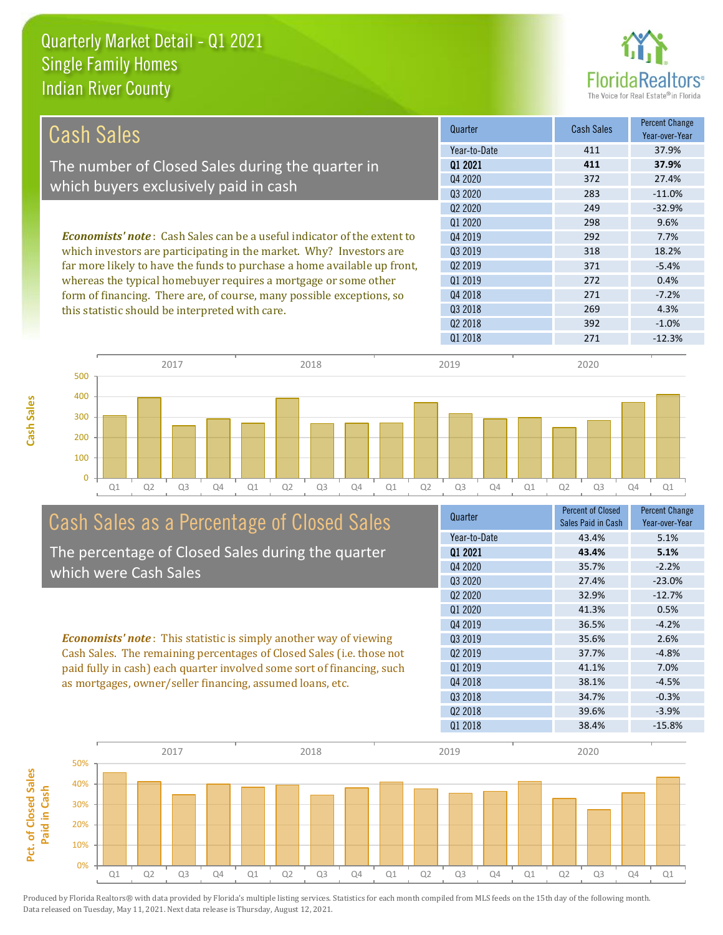

| Cash Sales                                                                     | Quarter             | <b>Cash Sales</b> | <b>Percent Change</b><br>Year-over-Year |
|--------------------------------------------------------------------------------|---------------------|-------------------|-----------------------------------------|
|                                                                                | Year-to-Date        | 411               | 37.9%                                   |
| The number of Closed Sales during the quarter in                               | 01 2021             | 411               | 37.9%                                   |
|                                                                                | Q4 2020             | 372               | 27.4%                                   |
| which buyers exclusively paid in cash                                          | Q3 2020             | 283               | $-11.0\%$                               |
|                                                                                | 02 2020             | 249               | $-32.9%$                                |
|                                                                                | 01 2020             | 298               | 9.6%                                    |
| <b>Economists' note:</b> Cash Sales can be a useful indicator of the extent to | Q4 2019             | 292               | 7.7%                                    |
| which investors are participating in the market. Why? Investors are            | Q3 2019             | 318               | 18.2%                                   |
| far more likely to have the funds to purchase a home available up front,       | Q <sub>2</sub> 2019 | 371               | $-5.4%$                                 |
| whereas the typical homebuyer requires a mortgage or some other                | Q1 2019             | 272               | 0.4%                                    |
| form of financing. There are, of course, many possible exceptions, so          | Q4 2018             | 271               | $-7.2%$                                 |
| this statistic should be interpreted with care.                                | Q3 2018             | 269               | 4.3%                                    |
|                                                                                | Q <sub>2</sub> 2018 | 392               | $-1.0%$                                 |
|                                                                                | 01 2018             | 271               | $-12.3%$                                |



## Cash Sales as a Percentage of Closed Sales

The percentage of Closed Sales during the quarter which were Cash Sales

*Economists' note* : This statistic is simply another way of viewing Cash Sales. The remaining percentages of Closed Sales (i.e. those not paid fully in cash) each quarter involved some sort of financing, such as mortgages, owner/seller financing, assumed loans, etc.

| Quarter                         | <b>Percent of Closed</b><br>Sales Paid in Cash | <b>Percent Change</b><br>Year-over-Year |
|---------------------------------|------------------------------------------------|-----------------------------------------|
| Year-to-Date                    | 43.4%                                          | 5.1%                                    |
| 01 2021                         | 43.4%                                          | 5.1%                                    |
| Q4 2020                         | 35.7%                                          | $-2.2%$                                 |
| Q3 2020                         | 27.4%                                          | $-23.0%$                                |
| Q <sub>2</sub> 20 <sub>20</sub> | 32.9%                                          | $-12.7%$                                |
| Q1 2020                         | 41.3%                                          | 0.5%                                    |
| Q4 2019                         | 36.5%                                          | $-4.2%$                                 |
| Q3 2019                         | 35.6%                                          | 2.6%                                    |
| 02 2019                         | 37.7%                                          | $-4.8%$                                 |
| Q1 2019                         | 41.1%                                          | 7.0%                                    |
| Q4 2018                         | 38.1%                                          | $-4.5%$                                 |
| Q3 2018                         | 34.7%                                          | $-0.3%$                                 |
| Q <sub>2</sub> 2018             | 39.6%                                          | $-3.9%$                                 |
| Q1 2018                         | 38.4%                                          | $-15.8%$                                |
|                                 |                                                |                                         |

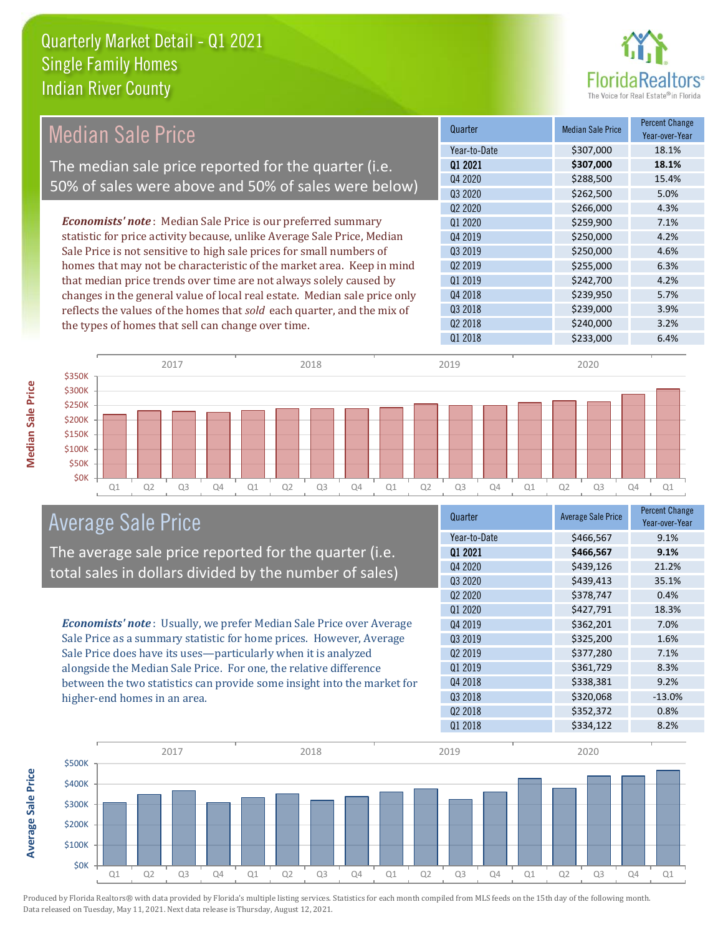

## Median Sale Price

The median sale price reported for the quarter (i.e. 50% of sales were above and 50% of sales were below)

*Economists' note* : Median Sale Price is our preferred summary statistic for price activity because, unlike Average Sale Price, Median Sale Price is not sensitive to high sale prices for small numbers of homes that may not be characteristic of the market area. Keep in mind that median price trends over time are not always solely caused by changes in the general value of local real estate. Median sale price only reflects the values of the homes that *sold* each quarter, and the mix of the types of homes that sell can change over time.

| Quarter             | <b>Median Sale Price</b> | <b>Percent Change</b><br>Year-over-Year |
|---------------------|--------------------------|-----------------------------------------|
| Year-to-Date        | \$307,000                | 18.1%                                   |
| 01 2021             | \$307,000                | 18.1%                                   |
| Q4 2020             | \$288,500                | 15.4%                                   |
| Q3 2020             | \$262,500                | 5.0%                                    |
| 02 2020             | \$266,000                | 4.3%                                    |
| 01 2020             | \$259,900                | 7.1%                                    |
| Q4 2019             | \$250,000                | 4.2%                                    |
| 03 2019             | \$250,000                | 4.6%                                    |
| 02 2019             | \$255,000                | 6.3%                                    |
| Q1 2019             | \$242,700                | 4.2%                                    |
| Q4 2018             | \$239,950                | 5.7%                                    |
| Q3 2018             | \$239,000                | 3.9%                                    |
| Q <sub>2</sub> 2018 | \$240,000                | 3.2%                                    |
| Q1 2018             | \$233,000                | 6.4%                                    |



## Average Sale Price

The average sale price reported for the quarter (i.e. total sales in dollars divided by the number of sales)

*Economists' note* : Usually, we prefer Median Sale Price over Average Sale Price as a summary statistic for home prices. However, Average Sale Price does have its uses—particularly when it is analyzed alongside the Median Sale Price. For one, the relative difference between the two statistics can provide some insight into the market for higher-end homes in an area.

| Quarter             | <b>Average Sale Price</b> | <b>Percent Change</b><br>Year-over-Year |
|---------------------|---------------------------|-----------------------------------------|
| Year-to-Date        | \$466,567                 | 9.1%                                    |
| 01 2021             | \$466,567                 | 9.1%                                    |
| Q4 2020             | \$439,126                 | 21.2%                                   |
| Q3 2020             | \$439,413                 | 35.1%                                   |
| Q2 2020             | \$378,747                 | 0.4%                                    |
| 01 2020             | \$427,791                 | 18.3%                                   |
| Q4 2019             | \$362,201                 | 7.0%                                    |
| 03 2019             | \$325,200                 | 1.6%                                    |
| 02 2019             | \$377,280                 | 7.1%                                    |
| Q1 2019             | \$361,729                 | 8.3%                                    |
| Q4 2018             | \$338,381                 | 9.2%                                    |
| Q3 2018             | \$320,068                 | $-13.0%$                                |
| Q <sub>2</sub> 2018 | \$352,372                 | 0.8%                                    |
| Q1 2018             | \$334,122                 | 8.2%                                    |



Produced by Florida Realtors® with data provided by Florida's multiple listing services. Statistics for each month compiled from MLS feeds on the 15th day of the following month. Data released on Tuesday, May 11, 2021. Next data release is Thursday, August 12, 2021.

**Average Sale Price**

**Average Sale Price**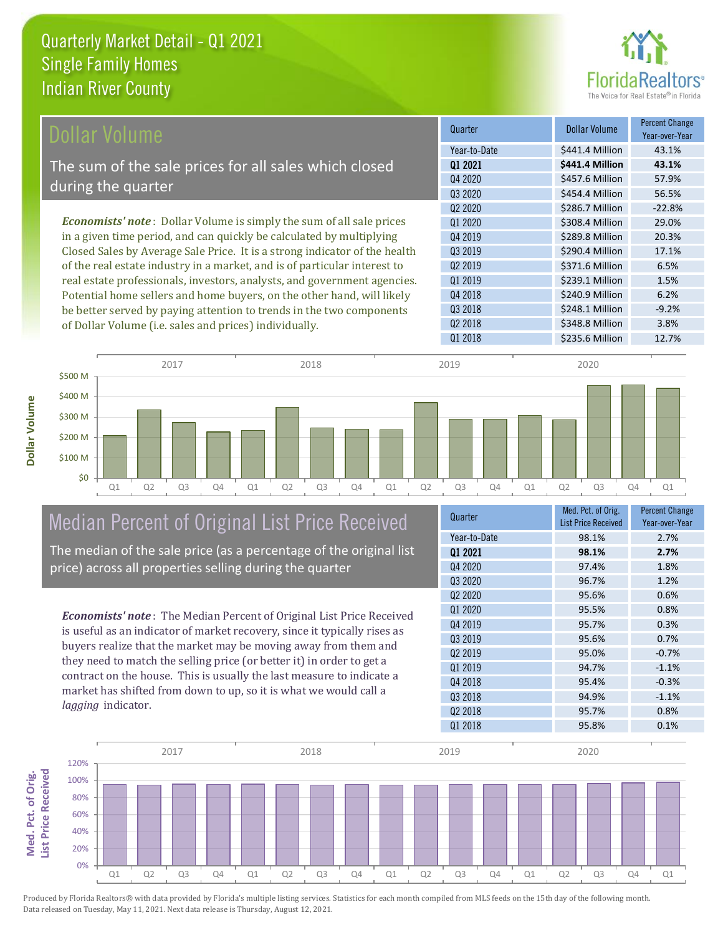

| Dollar Volume                                                                | Quarter             | <b>Dollar Volume</b> | <b>Percent Change</b><br>Year-over-Year |
|------------------------------------------------------------------------------|---------------------|----------------------|-----------------------------------------|
|                                                                              | Year-to-Date        | \$441.4 Million      | 43.1%                                   |
| The sum of the sale prices for all sales which closed                        | 01 2021             | \$441.4 Million      | 43.1%                                   |
| during the quarter                                                           | Q4 2020             | \$457.6 Million      | 57.9%                                   |
|                                                                              | Q3 2020             | \$454.4 Million      | 56.5%                                   |
|                                                                              | 02 2020             | \$286.7 Million      | $-22.8%$                                |
| <b>Economists' note</b> : Dollar Volume is simply the sum of all sale prices | 01 2020             | \$308.4 Million      | 29.0%                                   |
| in a given time period, and can quickly be calculated by multiplying         | 04 2019             | \$289.8 Million      | 20.3%                                   |
| Closed Sales by Average Sale Price. It is a strong indicator of the health   | Q3 2019             | \$290.4 Million      | 17.1%                                   |
| of the real estate industry in a market, and is of particular interest to    | Q <sub>2</sub> 2019 | \$371.6 Million      | 6.5%                                    |
| real estate professionals, investors, analysts, and government agencies.     | 01 2019             | \$239.1 Million      | 1.5%                                    |
| Potential home sellers and home buyers, on the other hand, will likely       | Q4 2018             | \$240.9 Million      | 6.2%                                    |
| be better served by paying attention to trends in the two components         | 03 2018             | \$248.1 Million      | $-9.2%$                                 |



## Median Percent of Original List Price Received

of Dollar Volume (i.e. sales and prices) individually.

The median of the sale price (as a percentage of the original list price) across all properties selling during the quarter

*Economists' note* : The Median Percent of Original List Price Received is useful as an indicator of market recovery, since it typically rises as buyers realize that the market may be moving away from them and they need to match the selling price (or better it) in order to get a contract on the house. This is usually the last measure to indicate a market has shifted from down to up, so it is what we would call a *lagging* indicator.

| Quarter                         | Med. Pct. of Orig.<br><b>List Price Received</b> | <b>Percent Change</b><br>Year-over-Year |
|---------------------------------|--------------------------------------------------|-----------------------------------------|
| Year-to-Date                    | 98.1%                                            | 2.7%                                    |
| 01 2021                         | 98.1%                                            | 2.7%                                    |
| Q4 2020                         | 97.4%                                            | 1.8%                                    |
| Q3 2020                         | 96.7%                                            | 1.2%                                    |
| Q <sub>2</sub> 20 <sub>20</sub> | 95.6%                                            | 0.6%                                    |
| 01 2020                         | 95.5%                                            | 0.8%                                    |
| Q4 2019                         | 95.7%                                            | 0.3%                                    |
| 03 2019                         | 95.6%                                            | 0.7%                                    |
| Q <sub>2</sub> 2019             | 95.0%                                            | $-0.7%$                                 |
| Q1 2019                         | 94.7%                                            | $-1.1%$                                 |
| Q4 2018                         | 95.4%                                            | $-0.3%$                                 |
| Q3 2018                         | 94.9%                                            | $-1.1%$                                 |
| Q2 2018                         | 95.7%                                            | 0.8%                                    |
| Q1 2018                         | 95.8%                                            | 0.1%                                    |

Q2 2018 **\$348.8 Million** 3.8%

Q1 2018 \$235.6 Million 12.7%

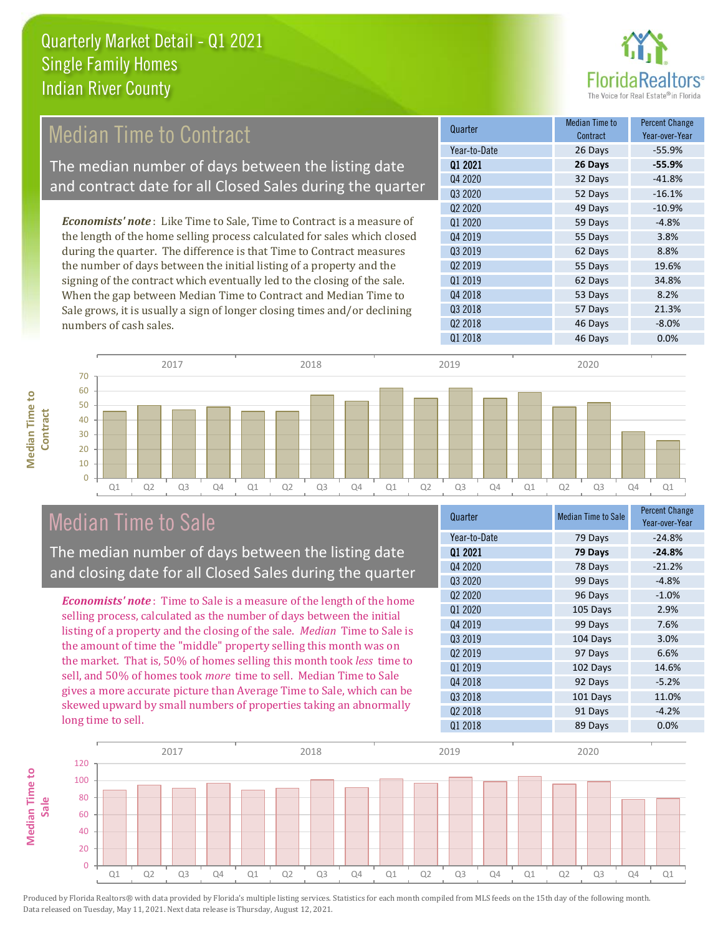

## Median Time to Contract

The median number of days between the listing date and contract date for all Closed Sales during the quarter

*Economists' note* : Like Time to Sale, Time to Contract is a measure of the length of the home selling process calculated for sales which closed during the quarter. The difference is that Time to Contract measures the number of days between the initial listing of a property and the signing of the contract which eventually led to the closing of the sale. When the gap between Median Time to Contract and Median Time to Sale grows, it is usually a sign of longer closing times and/or declining numbers of cash sales.

| Quarter                         | Median Time to<br>Contract | <b>Percent Change</b><br>Year-over-Year |
|---------------------------------|----------------------------|-----------------------------------------|
| Year-to-Date                    | 26 Days                    | $-55.9%$                                |
| Q1 2021                         | 26 Days                    | $-55.9%$                                |
| Q4 2020                         | 32 Days                    | $-41.8%$                                |
| Q3 2020                         | 52 Days                    | $-16.1%$                                |
| Q <sub>2</sub> 20 <sub>20</sub> | 49 Days                    | $-10.9%$                                |
| 01 2020                         | 59 Days                    | $-4.8%$                                 |
| Q4 2019                         | 55 Days                    | 3.8%                                    |
| 03 2019                         | 62 Days                    | 8.8%                                    |
| 02 2019                         | 55 Days                    | 19.6%                                   |
| Q1 2019                         | 62 Days                    | 34.8%                                   |
| Q4 2018                         | 53 Days                    | 8.2%                                    |
| Q3 2018                         | 57 Days                    | 21.3%                                   |
| Q <sub>2</sub> 2018             | 46 Days                    | $-8.0%$                                 |
| Q1 2018                         | 46 Days                    | 0.0%                                    |

**Median Time to Median Time to Contract**



## Median Time to Sale

The median number of days between the listing date and closing date for all Closed Sales during the quarter

*Economists' note* : Time to Sale is a measure of the length of the home selling process, calculated as the number of days between the initial listing of a property and the closing of the sale. *Median* Time to Sale is the amount of time the "middle" property selling this month was on the market. That is, 50% of homes selling this month took *less* time to sell, and 50% of homes took *more* time to sell. Median Time to Sale gives a more accurate picture than Average Time to Sale, which can be skewed upward by small numbers of properties taking an abnormally long time to sell.

| Quarter                         | <b>Median Time to Sale</b> | <b>Percent Change</b><br>Year-over-Year |
|---------------------------------|----------------------------|-----------------------------------------|
| Year-to-Date                    | 79 Days                    | $-24.8%$                                |
| 01 2021                         | 79 Days                    | $-24.8%$                                |
| Q4 2020                         | 78 Days                    | $-21.2%$                                |
| Q3 2020                         | 99 Days                    | $-4.8%$                                 |
| Q <sub>2</sub> 20 <sub>20</sub> | 96 Days                    | $-1.0%$                                 |
| Q1 2020                         | 105 Days                   | 2.9%                                    |
| Q4 2019                         | 99 Days                    | 7.6%                                    |
| Q3 2019                         | 104 Days                   | 3.0%                                    |
| 02 2019                         | 97 Days                    | 6.6%                                    |
| Q1 2019                         | 102 Days                   | 14.6%                                   |
| Q4 2018                         | 92 Days                    | $-5.2%$                                 |
| Q3 2018                         | 101 Days                   | 11.0%                                   |
| Q <sub>2</sub> 2018             | 91 Days                    | $-4.2%$                                 |
| Q1 2018                         | 89 Days                    | 0.0%                                    |

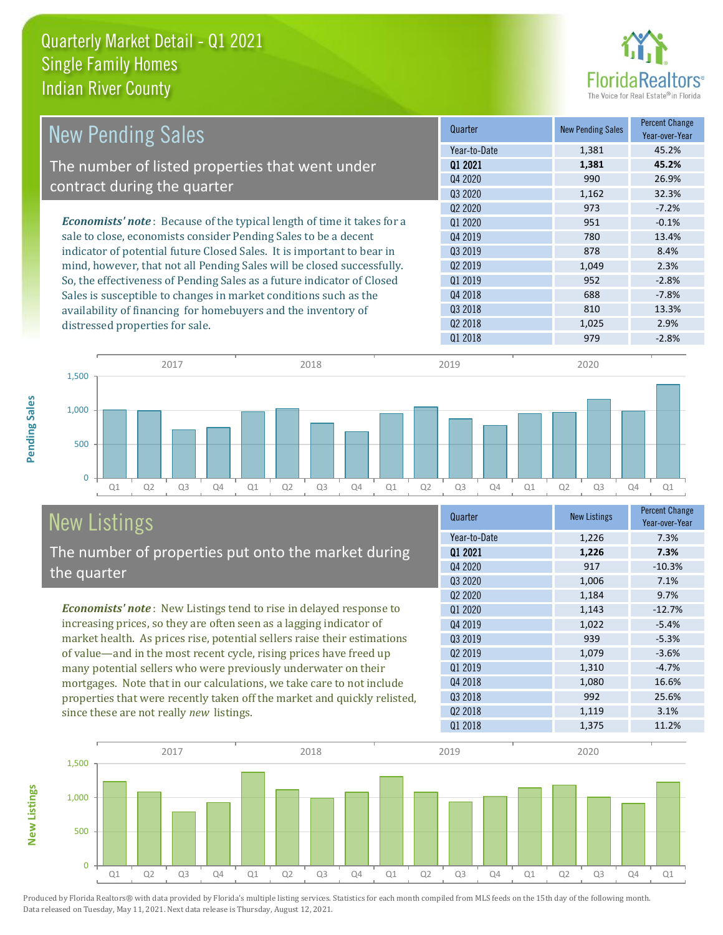

| <b>New Pending Sales</b>                                                       | Quarter             | <b>New Pending Sales</b> | <b>Percent Change</b><br>Year-over-Year |
|--------------------------------------------------------------------------------|---------------------|--------------------------|-----------------------------------------|
|                                                                                | Year-to-Date        | 1,381                    | 45.2%                                   |
| The number of listed properties that went under                                | 01 2021             | 1,381                    | 45.2%                                   |
| contract during the quarter                                                    | Q4 2020             | 990                      | 26.9%                                   |
|                                                                                | Q3 2020             | 1,162                    | 32.3%                                   |
|                                                                                | 02 2020             | 973                      | $-7.2%$                                 |
| <b>Economists' note</b> : Because of the typical length of time it takes for a | 01 2020             | 951                      | $-0.1%$                                 |
| sale to close, economists consider Pending Sales to be a decent                | Q4 2019             | 780                      | 13.4%                                   |
| indicator of potential future Closed Sales. It is important to bear in         | Q3 2019             | 878                      | 8.4%                                    |
| mind, however, that not all Pending Sales will be closed successfully.         | Q <sub>2</sub> 2019 | 1,049                    | 2.3%                                    |
| So, the effectiveness of Pending Sales as a future indicator of Closed         | Q1 2019             | 952                      | $-2.8%$                                 |
| Sales is susceptible to changes in market conditions such as the               | Q4 2018             | 688                      | $-7.8%$                                 |
| availability of financing for homebuyers and the inventory of                  | 03 2018             | 810                      | 13.3%                                   |
| distressed properties for sale.                                                | Q <sub>2</sub> 2018 | 1,025                    | 2.9%                                    |
|                                                                                | 01 2018             | 979                      | $-2.8%$                                 |

**New Listings**



## New Listings

The number of properties put onto the market during the quarter

*Economists' note* : New Listings tend to rise in delayed response to increasing prices, so they are often seen as a lagging indicator of market health. As prices rise, potential sellers raise their estimations of value—and in the most recent cycle, rising prices have freed up many potential sellers who were previously underwater on their mortgages. Note that in our calculations, we take care to not include properties that were recently taken off the market and quickly relisted, since these are not really *new* listings.

| Quarter             | <b>New Listings</b> | <b>Percent Change</b><br>Year-over-Year |
|---------------------|---------------------|-----------------------------------------|
| Year-to-Date        | 1,226               | 7.3%                                    |
| 01 2021             | 1,226               | 7.3%                                    |
| Q4 2020             | 917                 | $-10.3%$                                |
| Q3 2020             | 1,006               | 7.1%                                    |
| 02 2020             | 1,184               | 9.7%                                    |
| Q1 2020             | 1,143               | $-12.7%$                                |
| Q4 2019             | 1,022               | $-5.4%$                                 |
| Q3 2019             | 939                 | $-5.3%$                                 |
| Q <sub>2</sub> 2019 | 1,079               | $-3.6%$                                 |
| Q1 2019             | 1,310               | $-4.7%$                                 |
| Q4 2018             | 1,080               | 16.6%                                   |
| Q3 2018             | 992                 | 25.6%                                   |
| Q <sub>2</sub> 2018 | 1,119               | 3.1%                                    |
| Q1 2018             | 1,375               | 11.2%                                   |

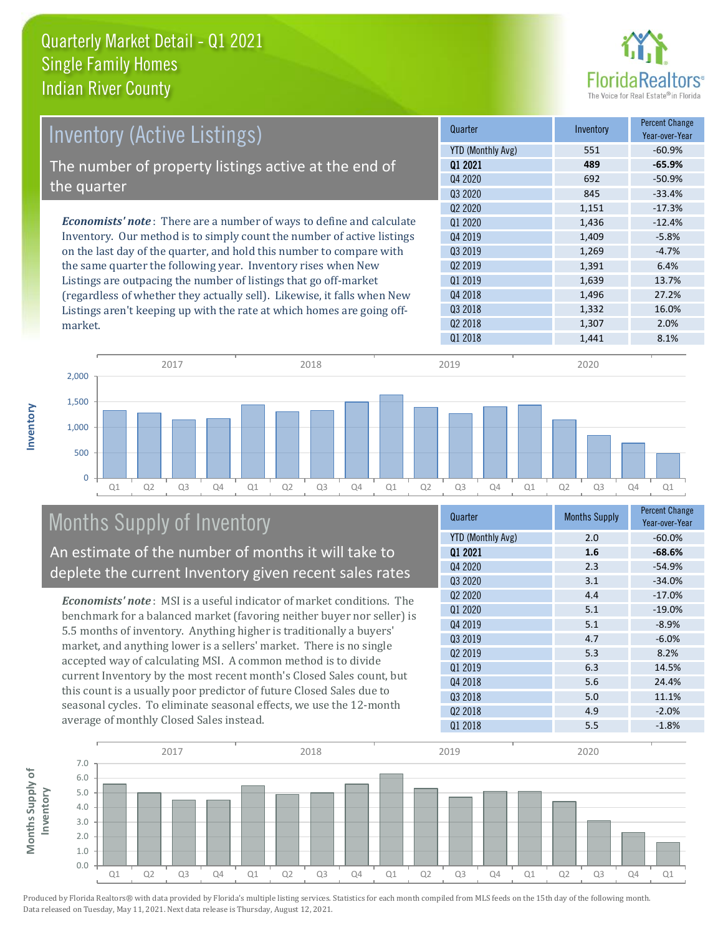

| <b>Inventory (Active Listings)</b>                                          | Quarter             | Inventory | <b>Percent Change</b><br>Year-over-Year |
|-----------------------------------------------------------------------------|---------------------|-----------|-----------------------------------------|
|                                                                             | YTD (Monthly Avg)   | 551       | $-60.9%$                                |
| The number of property listings active at the end of                        | 01 2021             | 489       | $-65.9%$                                |
| the quarter                                                                 | Q4 2020             | 692       | $-50.9%$                                |
|                                                                             | 03 2020             | 845       | $-33.4%$                                |
|                                                                             | 02 2020             | 1,151     | $-17.3%$                                |
| <b>Economists' note:</b> There are a number of ways to define and calculate | 01 2020             | 1,436     | $-12.4%$                                |
| Inventory. Our method is to simply count the number of active listings      | Q4 2019             | 1,409     | $-5.8%$                                 |
| on the last day of the quarter, and hold this number to compare with        | 03 2019             | 1,269     | $-4.7%$                                 |
| the same quarter the following year. Inventory rises when New               | Q <sub>2</sub> 2019 | 1,391     | 6.4%                                    |
| Listings are outpacing the number of listings that go off-market            | 01 2019             | 1,639     | 13.7%                                   |
| (regardless of whether they actually sell). Likewise, it falls when New     | Q4 2018             | 1,496     | 27.2%                                   |
| Listings aren't keeping up with the rate at which homes are going off-      | Q3 2018             | 1.332     | 16.0%                                   |



## Months Supply of Inventory

An estimate of the number of months it will take to deplete the current Inventory given recent sales rates

*Economists' note* : MSI is a useful indicator of market conditions. The benchmark for a balanced market (favoring neither buyer nor seller) is 5.5 months of inventory. Anything higher is traditionally a buyers' market, and anything lower is a sellers' market. There is no single accepted way of calculating MSI. A common method is to divide current Inventory by the most recent month's Closed Sales count, but this count is a usually poor predictor of future Closed Sales due to seasonal cycles. To eliminate seasonal effects, we use the 12-month average of monthly Closed Sales instead.

| <b>Months Supply</b> | <b>Percent Change</b><br>Year-over-Year |
|----------------------|-----------------------------------------|
| 2.0                  | $-60.0%$                                |
| 1.6                  | $-68.6%$                                |
| 2.3                  | $-54.9%$                                |
| 3.1                  | $-34.0%$                                |
| 4.4                  | $-17.0%$                                |
| 5.1                  | $-19.0%$                                |
| 5.1                  | $-8.9%$                                 |
| 4.7                  | $-6.0%$                                 |
| 5.3                  | 8.2%                                    |
| 6.3                  | 14.5%                                   |
| 5.6                  | 24.4%                                   |
| 5.0                  | 11.1%                                   |
| 4.9                  | $-2.0%$                                 |
| 5.5                  | $-1.8%$                                 |
|                      |                                         |

Q2 2018 2.0%



Produced by Florida Realtors® with data provided by Florida's multiple listing services. Statistics for each month compiled from MLS feeds on the 15th day of the following month. Data released on Tuesday, May 11, 2021. Next data release is Thursday, August 12, 2021.

market.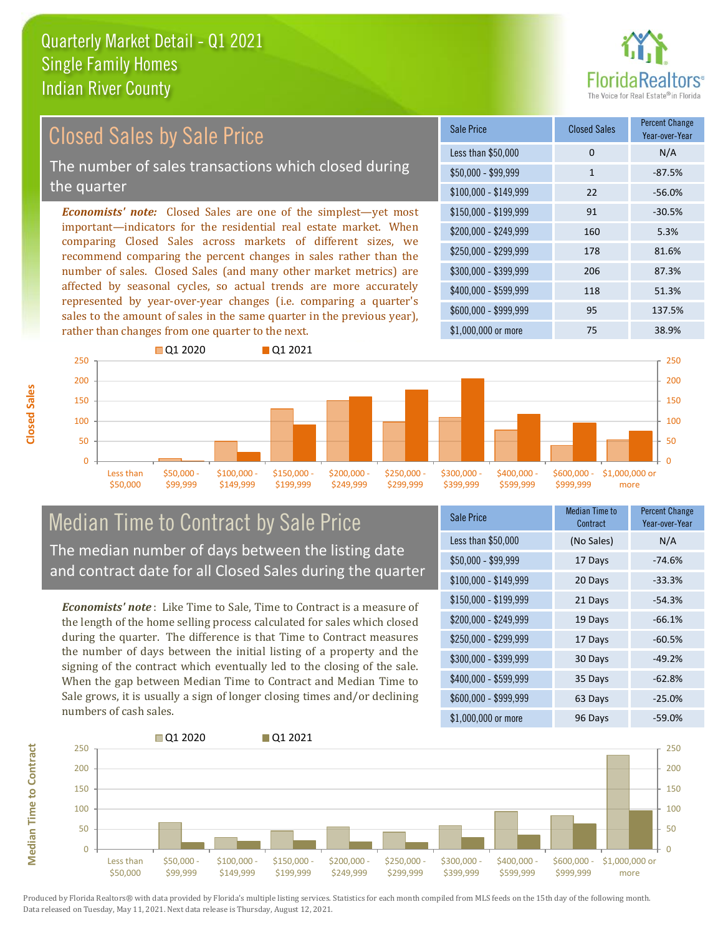

#### $$100,000 - $149,999$  22 -56.0% Sale Price Closed Sales Percent Change Year-over-Year Less than \$50,000 0 0 N/A  $$50.000 - $99.999$  1 -87.5% \$150,000 - \$199,999 91 -30.5% \$200,000 - \$249,999 160 5.3% \$400,000 - \$599,999 118 51.3% \$600,000 - \$999,999 95 137.5% *Economists' note:* Closed Sales are one of the simplest—yet most important—indicators for the residential real estate market. When comparing Closed Sales across markets of different sizes, we recommend comparing the percent changes in sales rather than the number of sales. Closed Sales (and many other market metrics) are affected by seasonal cycles, so actual trends are more accurately represented by year-over-year changes (i.e. comparing a quarter's sales to the amount of sales in the same quarter in the previous year), rather than changes from one quarter to the next. \$1,000,000 or more 75 38.9% \$250,000 - \$299,999 178 81.6% \$300,000 - \$399,999 206 87.3% 250 **Q**1 2020 **Q** 01 2021 250 Closed Sales by Sale Price The number of sales transactions which closed during the quarter



## Median Time to Contract by Sale Price The median number of days between the listing date and contract date for all Closed Sales during the quarter

*Economists' note* : Like Time to Sale, Time to Contract is a measure of the length of the home selling process calculated for sales which closed during the quarter. The difference is that Time to Contract measures the number of days between the initial listing of a property and the signing of the contract which eventually led to the closing of the sale. When the gap between Median Time to Contract and Median Time to Sale grows, it is usually a sign of longer closing times and/or declining numbers of cash sales.

| <b>Sale Price</b>     | Median Time to<br>Contract | <b>Percent Change</b><br>Year-over-Year |
|-----------------------|----------------------------|-----------------------------------------|
| Less than \$50,000    | (No Sales)                 | N/A                                     |
| $$50,000 - $99,999$   | 17 Days                    | $-74.6%$                                |
| $$100,000 - $149,999$ | 20 Days                    | $-33.3%$                                |
| $$150,000 - $199,999$ | 21 Days                    | $-54.3%$                                |
| \$200,000 - \$249,999 | 19 Days                    | $-66.1%$                                |
| \$250,000 - \$299,999 | 17 Days                    | $-60.5%$                                |
| \$300,000 - \$399,999 | 30 Days                    | $-49.2%$                                |
| \$400,000 - \$599,999 | 35 Days                    | $-62.8%$                                |
| \$600,000 - \$999,999 | 63 Days                    | $-25.0%$                                |
| \$1,000,000 or more   | 96 Days                    | $-59.0%$                                |



**Closed Sales**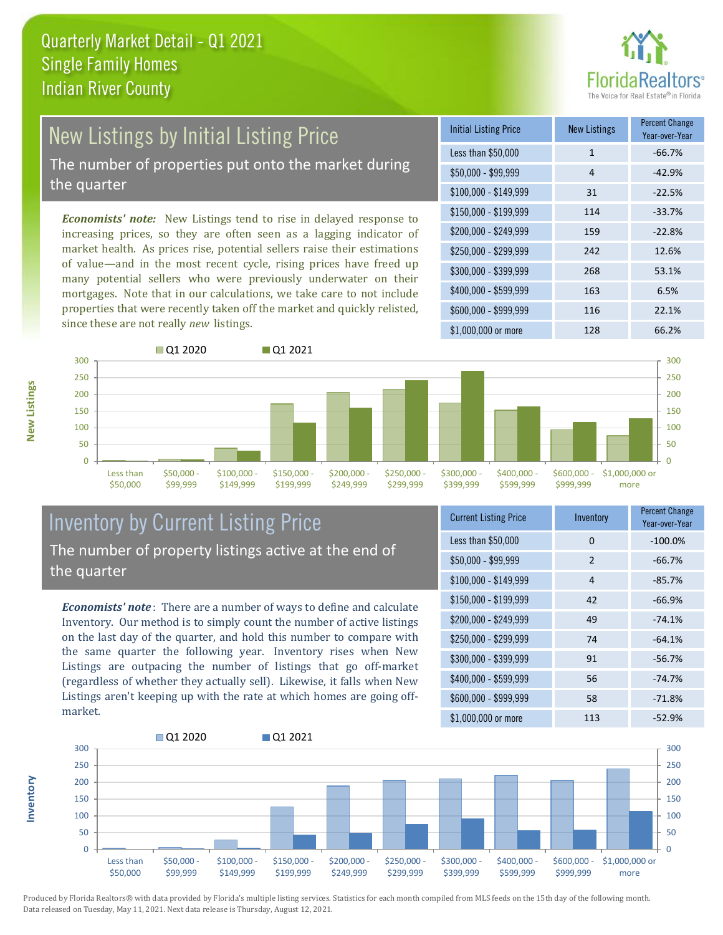

# New Listings by Initial Listing Price

The number of properties put onto the market during the quarter

*Economists' note:* New Listings tend to rise in delayed response to increasing prices, so they are often seen as a lagging indicator of market health. As prices rise, potential sellers raise their estimations of value—and in the most recent cycle, rising prices have freed up many potential sellers who were previously underwater on their mortgages. Note that in our calculations, we take care to not include properties that were recently taken off the market and quickly relisted, since these are not really *new* listings.

| <b>Initial Listing Price</b> | <b>New Listings</b> | <b>Percent Change</b><br>Year-over-Year |
|------------------------------|---------------------|-----------------------------------------|
| Less than \$50,000           | $\mathbf{1}$        | $-66.7%$                                |
| $$50,000 - $99,999$          | 4                   | $-42.9%$                                |
| $$100,000 - $149,999$        | 31                  | $-22.5%$                                |
| $$150,000 - $199,999$        | 114                 | $-33.7%$                                |
| \$200,000 - \$249,999        | 159                 | $-22.8%$                                |
| $$250,000 - $299,999$        | 242                 | 12.6%                                   |
| \$300,000 - \$399,999        | 268                 | 53.1%                                   |
| \$400,000 - \$599,999        | 163                 | 6.5%                                    |
| \$600,000 - \$999,999        | 116                 | 22.1%                                   |
| \$1,000,000 or more          | 128                 | 66.2%                                   |



## Inventory by Current Listing Price The number of property listings active at the end of the quarter

*Economists' note* : There are a number of ways to define and calculate Inventory. Our method is to simply count the number of active listings on the last day of the quarter, and hold this number to compare with the same quarter the following year. Inventory rises when New Listings are outpacing the number of listings that go off-market (regardless of whether they actually sell). Likewise, it falls when New Listings aren't keeping up with the rate at which homes are going offmarket.

| <b>Current Listing Price</b> | Inventory | <b>Percent Change</b><br>Year-over-Year |
|------------------------------|-----------|-----------------------------------------|
| Less than \$50,000           | 0         | $-100.0%$                               |
| $$50,000 - $99,999$          | 2         | $-66.7%$                                |
| $$100,000 - $149,999$        | 4         | $-85.7%$                                |
| $$150,000 - $199,999$        | 42        | $-66.9%$                                |
| \$200,000 - \$249,999        | 49        | $-74.1%$                                |
| \$250,000 - \$299,999        | 74        | $-64.1%$                                |
| \$300,000 - \$399,999        | 91        | $-56.7%$                                |
| \$400,000 - \$599,999        | 56        | $-74.7%$                                |
| \$600,000 - \$999,999        | 58        | $-71.8%$                                |
| \$1,000,000 or more          | 113       | $-52.9%$                                |



**Inventory**